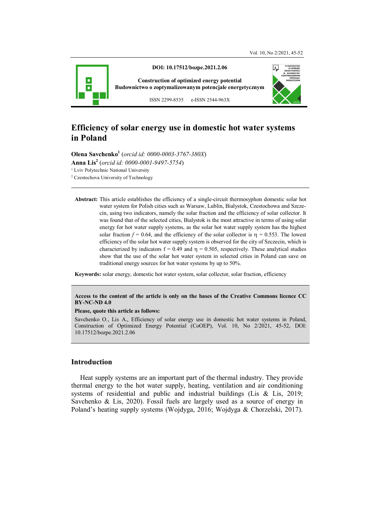

**DOI: 10.17512/bozpe.2021.2.06** 

**Construction of optimized energy potential Budownictwo o zoptymalizowanym potencjale energetycznym**



ISSN 2299-8535 e-ISSN 2544-963X

# **Efficiency of solar energy use in domestic hot water systems in Poland**

**Olena Savсhenko<sup>1</sup>** (*orcid id: 0000-0003-3767-380Х*) **Anna Lis<sup>2</sup>** (*orcid id: 0000-0001-9497-5754*)

<sup>1</sup> Lviv Polytechnic National University

2 Czestochova University of Technology

**Abstract:** This article establishes the efficiency of a single-circuit thermosyphon domestic solar hot water system for Polish cities such as Warsaw, Lublin, Bialystok, Czestochowa and Szczecin, using two indicators, namely the solar fraction and the efficiency of solar collector. It was found that of the selected cities, Bialystok is the most attractive in terms of using solar energy for hot water supply systems, as the solar hot water supply system has the highest solar fraction  $f = 0.64$ , and the efficiency of the solar collector is  $\eta = 0.553$ . The lowest efficiency of the solar hot water supply system is observed for the city of Szczecin, which is characterized by indicators  $f = 0.49$  and  $\eta = 0.505$ , respectively. These analytical studies show that the use of the solar hot water system in selected cities in Poland can save on traditional energy sources for hot water systems by up to 50%.

**Keywords:** solar energy, domestic hot water system, solar collector, solar fraction, efficiency

#### **Access to the content of the article is only on the bases of the Creative Commons licence CC BY-NC-ND 4.0**

**Please, quote this article as follows:** 

Savchenko O., Lis A., Efficiency of solar energy use in domestic hot water systems in Poland, Construction of Optimized Energy Potential (CoOEP), Vol. 10, No 2/2021, 45-52, DOI: 10.17512/bozpe.2021.2.06

## **Introduction**

Heat supply systems are an important part of the thermal industry. They provide thermal energy to the hot water supply, heating, ventilation and air conditioning systems of residential and public and industrial buildings (Lis & Lis, 2019; Savchenko & Lis, 2020). Fossil fuels are largely used as a source of energy in Poland's heating supply systems (Wojdyga, 2016; Wojdyga & Chorzelski, 2017).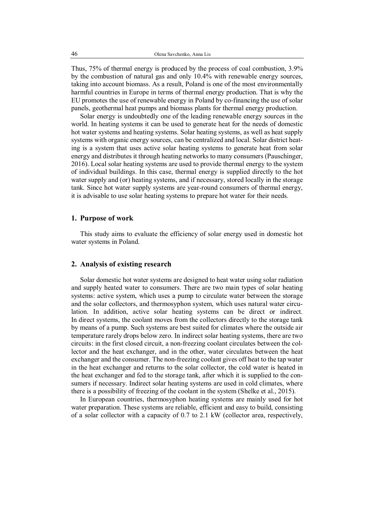Thus, 75% of thermal energy is produced by the process of coal combustion, 3.9% by the combustion of natural gas and only 10.4% with renewable energy sources, taking into account biomass. As a result, Poland is one of the most environmentally harmful countries in Europe in terms of thermal energy production. That is why the EU promotes the use of renewable energy in Poland by co-financing the use of solar panels, geothermal heat pumps and biomass plants for thermal energy production.

Solar energy is undoubtedly one of the leading renewable energy sources in the world. In heating systems it can be used to generate heat for the needs of domestic hot water systems and heating systems. Solar heating systems, as well as heat supply systems with organic energy sources, can be centralized and local. Solar district heating is a system that uses active solar heating systems to generate heat from solar energy and distributes it through heating networks to many consumers (Pauschinger, 2016). Local solar heating systems are used to provide thermal energy to the system of individual buildings. In this case, thermal energy is supplied directly to the hot water supply and (or) heating systems, and if necessary, stored locally in the storage tank. Since hot water supply systems are year-round consumers of thermal energy, it is advisable to use solar heating systems to prepare hot water for their needs.

## **1. Purpose of work**

This study aims to evaluate the efficiency of solar energy used in domestic hot water systems in Poland.

#### **2. Analysis of existing research**

Solar domestic hot water systems are designed to heat water using solar radiation and supply heated water to consumers. There are two main types of solar heating systems: active system, which uses a pump to circulate water between the storage and the solar collectors, and thermosyphon system, which uses natural water circulation. In addition, active solar heating systems can be direct or indirect. In direct systems, the coolant moves from the collectors directly to the storage tank by means of a pump. Such systems are best suited for climates where the outside air temperature rarely drops below zero. In indirect solar heating systems, there are two circuits: in the first closed circuit, a non-freezing coolant circulates between the collector and the heat exchanger, and in the other, water circulates between the heat exchanger and the consumer. The non-freezing coolant gives off heat to the tap water in the heat exchanger and returns to the solar collector, the cold water is heated in the heat exchanger and fed to the storage tank, after which it is supplied to the consumers if necessary. Indirect solar heating systems are used in cold climates, where there is a possibility of freezing of the coolant in the system (Shelke et al., 2015).

In European countries, thermosyphon heating systems are mainly used for hot water preparation. These systems are reliable, efficient and easy to build, consisting of a solar collector with a capacity of 0.7 to 2.1 kW (collector area, respectively,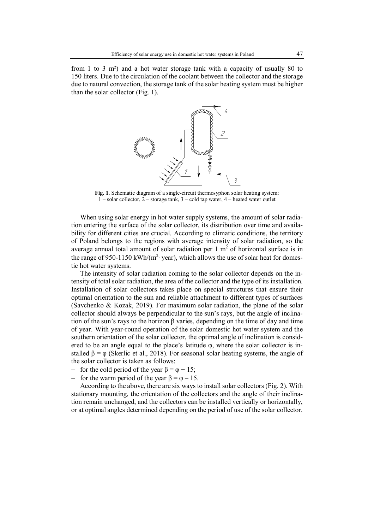from 1 to 3 m²) and a hot water storage tank with a capacity of usually 80 to 150 liters. Due to the circulation of the coolant between the collector and the storage due to natural convection, the storage tank of the solar heating system must be higher than the solar collector (Fig. 1).



**Fig. 1.** Schematic diagram of a single-circuit thermosyphon solar heating system:  $1$  – solar collector,  $2$  – storage tank,  $3$  – cold tap water,  $4$  – heated water outlet

When using solar energy in hot water supply systems, the amount of solar radiation entering the surface of the solar collector, its distribution over time and availability for different cities are crucial. According to climatic conditions, the territory of Poland belongs to the regions with average intensity of solar radiation, so the average annual total amount of solar radiation per 1  $m<sup>2</sup>$  of horizontal surface is in the range of 950-1150 kWh/(m<sup>2</sup>·year), which allows the use of solar heat for domestic hot water systems.

The intensity of solar radiation coming to the solar collector depends on the intensity of total solar radiation, the area of the collector and the type of its installation. Installation of solar collectors takes place on special structures that ensure their optimal orientation to the sun and reliable attachment to different types of surfaces (Savchenko & Kozak, 2019). For maximum solar radiation, the plane of the solar collector should always be perpendicular to the sun's rays, but the angle of inclination of the sun's rays to the horizon β varies, depending on the time of day and time of year. With year-round operation of the solar domestic hot water system and the southern orientation of the solar collector, the optimal angle of inclination is considered to be an angle equal to the place's latitude φ, where the solar collector is installed  $\beta = \varphi$  (Skerlic et al., 2018). For seasonal solar heating systems, the angle of the solar collector is taken as follows:

- for the cold period of the year  $β = φ + 15$ ;
- for the warm period of the year  $β = φ 15$ .

According to the above, there are six ways to install solar collectors (Fig. 2). With stationary mounting, the orientation of the collectors and the angle of their inclination remain unchanged, and the collectors can be installed vertically or horizontally, or at optimal angles determined depending on the period of use of the solar collector.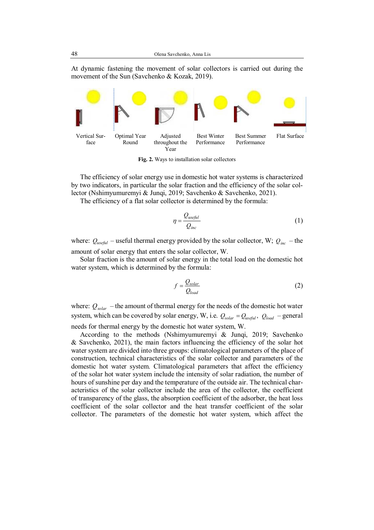At dynamic fastening the movement of solar collectors is carried out during the movement of the Sun (Savchenko & Kozak, 2019).



**Fig. 2.** Ways to installation solar collectors

The efficiency of solar energy use in domestic hot water systems is characterized by two indicators, in particular the solar fraction and the efficiency of the solar collector (Nshimyumuremyi & Junqi, 2019; Savchenko & Savchenko, 2021).

The efficiency of a flat solar collector is determined by the formula:

$$
\eta = \frac{Q_{useful}}{Q_{inc}}\tag{1}
$$

where:  $Q_{useful}$  – useful thermal energy provided by the solar collector, W;  $Q_{inc}$  – the amount of solar energy that enters the solar collector, W.

Solar fraction is the amount of solar energy in the total load on the domestic hot water system, which is determined by the formula:

$$
f = \frac{Q_{solar}}{Q_{load}} \tag{2}
$$

where:  $Q_{solar}$  – the amount of thermal energy for the needs of the domestic hot water system, which can be covered by solar energy, W, i.e.  $Q_{solar} = Q_{useful}$ ,  $Q_{load}$  – general needs for thermal energy by the domestic hot water system, W.

According to the methods (Nshimyumuremyi & Junqi, 2019; Savchenko & Savchenko, 2021), the main factors influencing the efficiency of the solar hot water system are divided into three groups: climatological parameters of the place of construction, technical characteristics of the solar collector and parameters of the domestic hot water system. Climatological parameters that affect the efficiency of the solar hot water system include the intensity of solar radiation, the number of hours of sunshine per day and the temperature of the outside air. The technical characteristics of the solar collector include the area of the collector, the coefficient of transparency of the glass, the absorption coefficient of the adsorber, the heat loss coefficient of the solar collector and the heat transfer coefficient of the solar collector. The parameters of the domestic hot water system, which affect the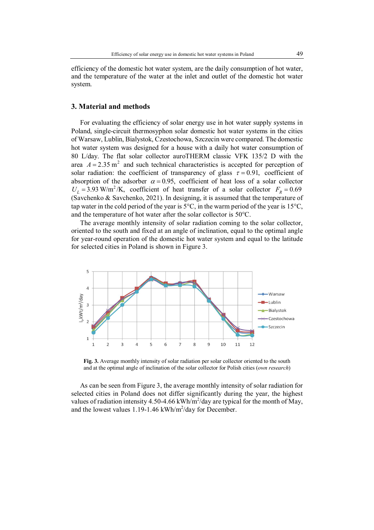efficiency of the domestic hot water system, are the daily consumption of hot water, and the temperature of the water at the inlet and outlet of the domestic hot water system.

# **3. Material and methods**

For evaluating the efficiency of solar energy use in hot water supply systems in Poland, single-circuit thermosyphon solar domestic hot water systems in the cities of Warsaw, Lublin, Bialystok, Czestochowa, Szczecin were compared. The domestic hot water system was designed for a house with a daily hot water consumption of 80 L/day. The flat solar collector auroTHERM classic VFK 135/2 D with the area  $A = 2.35 \text{ m}^2$  and such technical characteristics is accepted for perception of solar radiation: the coefficient of transparency of glass  $\tau = 0.91$ , coefficient of absorption of the adsorber  $\alpha = 0.95$ , coefficient of heat loss of a solar collector  $U_L$  = 3.93 W/m<sup>2</sup>/K, coefficient of heat transfer of a solar collector  $F_R$  = 0.69 (Savchenko & Savchenko, 2021). In designing, it is assumed that the temperature of tap water in the cold period of the year is  $5^{\circ}$ C, in the warm period of the year is 15 $^{\circ}$ C, and the temperature of hot water after the solar collector is  $50^{\circ}$ C.

The average monthly intensity of solar radiation coming to the solar collector, oriented to the south and fixed at an angle of inclination, equal to the optimal angle for year-round operation of the domestic hot water system and equal to the latitude for selected cities in Poland is shown in Figure 3.



**Fig. 3.** Average monthly intensity of solar radiation per solar collector oriented to the south and at the optimal angle of inclination of the solar collector for Polish cities (*own research*)

As can be seen from Figure 3, the average monthly intensity of solar radiation for selected cities in Poland does not differ significantly during the year, the highest values of radiation intensity 4.50-4.66 kWh/m<sup>2</sup>/day are typical for the month of May, and the lowest values  $1.19 - 1.46$  kWh/m<sup>2</sup>/day for December.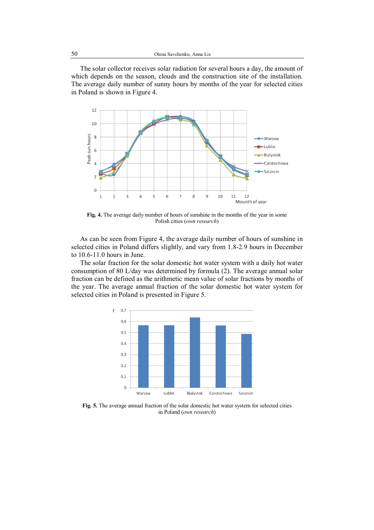The solar collector receives solar radiation for several hours a day, the amount of which depends on the season, clouds and the construction site of the installation. The average daily number of sunny hours by months of the year for selected cities in Poland is shown in Figure 4.



**Fig. 4.** The average daily number of hours of sunshine in the months of the year in some Polish cities (*own research*)

As can be seen from Figure 4, the average daily number of hours of sunshine in selected cities in Poland differs slightly, and vary from 1.8-2.9 hours in December to 10.6-11.0 hours in June.

The solar fraction for the solar domestic hot water system with a daily hot water consumption of 80 L/day was determined by formula (2). The average annual solar fraction can be defined as the arithmetic mean value of solar fractions by months of the year. The average annual fraction of the solar domestic hot water system for selected cities in Poland is presented in Figure 5.



**Fig. 5.** The average annual fraction of the solar domestic hot water system for selected cities in Poland (*own research*)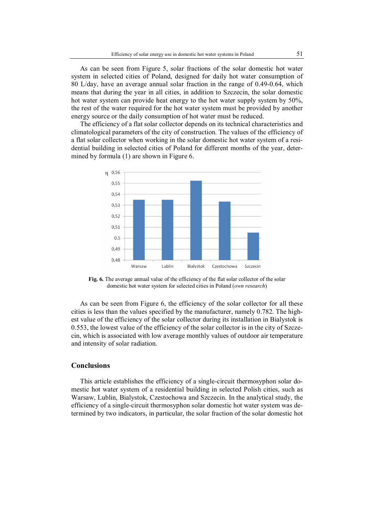As can be seen from Figure 5, solar fractions of the solar domestic hot water system in selected cities of Poland, designed for daily hot water consumption of 80 L/day, have an average annual solar fraction in the range of 0.49-0.64, which means that during the year in all cities, in addition to Szczecin, the solar domestic hot water system can provide heat energy to the hot water supply system by 50%, the rest of the water required for the hot water system must be provided by another energy source or the daily consumption of hot water must be reduced.

The efficiency of a flat solar collector depends on its technical characteristics and climatological parameters of the city of construction. The values of the efficiency of a flat solar collector when working in the solar domestic hot water system of a residential building in selected cities of Poland for different months of the year, determined by formula (1) are shown in Figure 6.



**Fig. 6.** The average annual value of the efficiency of the flat solar collector of the solar domestic hot water system for selected cities in Poland (*own research*)

As can be seen from Figure 6, the efficiency of the solar collector for all these cities is less than the values specified by the manufacturer, namely 0.782. The highest value of the efficiency of the solar collector during its installation in Bialystok is 0.553, the lowest value of the efficiency of the solar collector is in the city of Szczecin, which is associated with low average monthly values of outdoor air temperature and intensity of solar radiation.

## **Conclusions**

This article establishes the efficiency of a single-circuit thermosyphon solar domestic hot water system of a residential building in selected Polish cities, such as Warsaw, Lublin, Bialystok, Czestochowa and Szczecin. In the analytical study, the efficiency of a single-circuit thermosyphon solar domestic hot water system was determined by two indicators, in particular, the solar fraction of the solar domestic hot